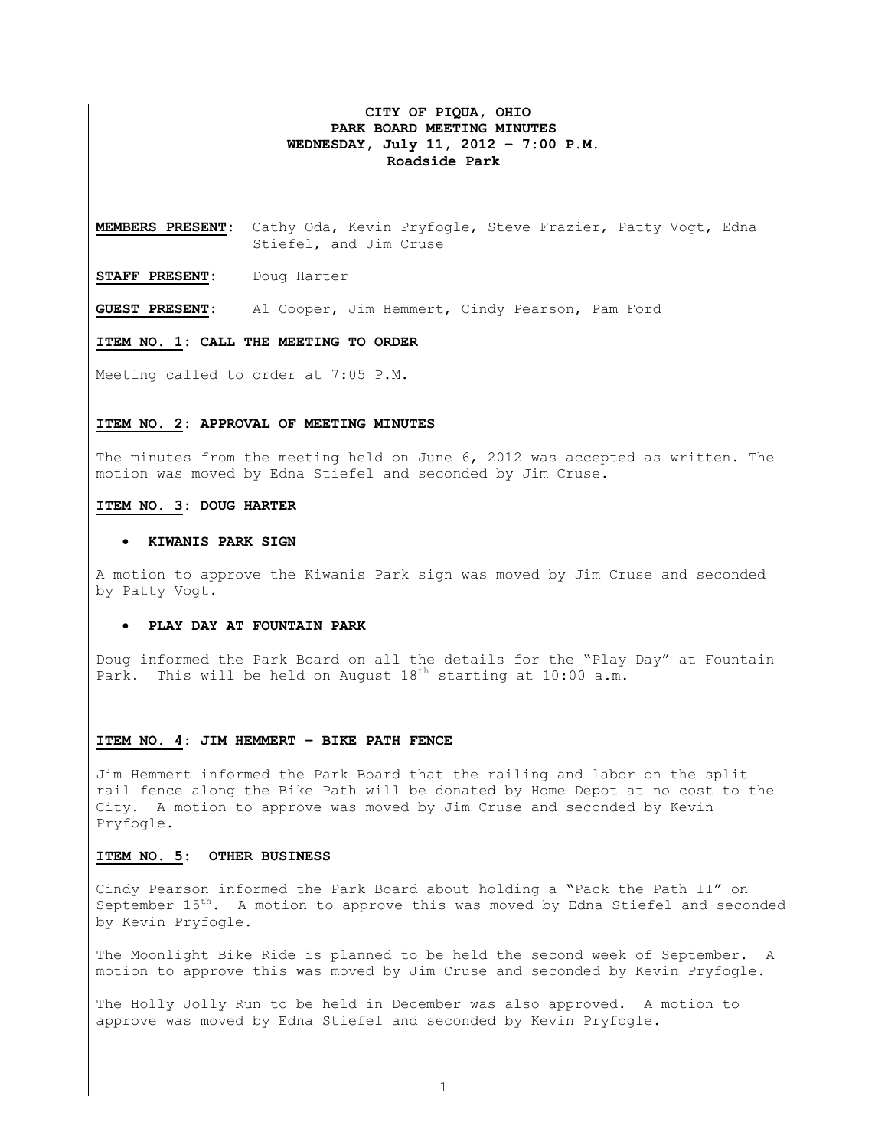## **CITY OF PIQUA, OHIO PARK BOARD MEETING MINUTES WEDNESDAY, July 11, 2012 – 7:00 P.M. Roadside Park**

**MEMBERS PRESENT:** Cathy Oda, Kevin Pryfogle, Steve Frazier, Patty Vogt, Edna Stiefel, and Jim Cruse

**STAFF PRESENT:** Doug Harter

**GUEST PRESENT:** Al Cooper, Jim Hemmert, Cindy Pearson, Pam Ford

**ITEM NO. 1: CALL THE MEETING TO ORDER** 

Meeting called to order at 7:05 P.M.

### **ITEM NO. 2: APPROVAL OF MEETING MINUTES**

The minutes from the meeting held on June 6, 2012 was accepted as written. The motion was moved by Edna Stiefel and seconded by Jim Cruse.

#### **ITEM NO. 3: DOUG HARTER**

#### • **KIWANIS PARK SIGN**

A motion to approve the Kiwanis Park sign was moved by Jim Cruse and seconded by Patty Vogt.

### • **PLAY DAY AT FOUNTAIN PARK**

Doug informed the Park Board on all the details for the "Play Day" at Fountain Park. This will be held on August  $18<sup>th</sup>$  starting at  $10:00$  a.m.

#### **ITEM NO. 4: JIM HEMMERT – BIKE PATH FENCE**

Jim Hemmert informed the Park Board that the railing and labor on the split rail fence along the Bike Path will be donated by Home Depot at no cost to the City. A motion to approve was moved by Jim Cruse and seconded by Kevin Pryfogle.

## **ITEM NO. 5: OTHER BUSINESS**

Cindy Pearson informed the Park Board about holding a "Pack the Path II" on September 15<sup>th</sup>. A motion to approve this was moved by Edna Stiefel and seconded by Kevin Pryfogle.

The Moonlight Bike Ride is planned to be held the second week of September. A motion to approve this was moved by Jim Cruse and seconded by Kevin Pryfogle.

The Holly Jolly Run to be held in December was also approved. A motion to approve was moved by Edna Stiefel and seconded by Kevin Pryfogle.